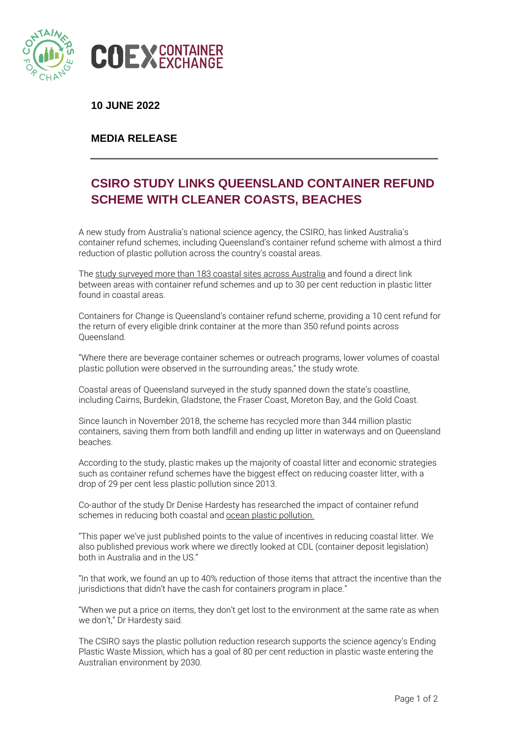

**10 JUNE 2022**

## **MEDIA RELEASE**

## **CSIRO STUDY LINKS QUEENSLAND CONTAINER REFUND SCHEME WITH CLEANER COASTS, BEACHES**

A new study from Australia's national science agency, the CSIRO, has linked Australia's container refund schemes, including Queensland's container refund scheme with almost a third reduction of plastic pollution across the country's coastal areas.

The study [surveyed](https://www.csiro.au/en/news/News-releases/2022/Plastic-on-Australias-beaches-cut-by-almost-a-third) more than 183 coastal sites across Australia and found a direct link between areas with container refund schemes and up to 30 per cent reduction in plastic litter found in coastal areas.

Containers for Change is Queensland's container refund scheme, providing a 10 cent refund for the return of every eligible drink container at the more than 350 refund points across Queensland.

"Where there are beverage container schemes or outreach programs, lower volumes of coastal plastic pollution were observed in the surrounding areas," the study wrote.

Coastal areas of Queensland surveyed in the study spanned down the state's coastline, including Cairns, Burdekin, Gladstone, the Fraser Coast, Moreton Bay, and the Gold Coast.

Since launch in November 2018, the scheme has recycled more than 344 million plastic containers, saving them from both landfill and ending up litter in waterways and on Queensland beaches.

According to the study, plastic makes up the majority of coastal litter and economic strategies such as container refund schemes have the biggest effect on reducing coaster litter, with a drop of 29 per cent less plastic pollution since 2013.

Co-author of the study Dr Denise Hardesty has researched the impact of container refund schemes in reducing both coastal and ocean plastic [pollution.](https://theconversation.com/deposit-schemes-reduce-drink-containers-in-the-ocean-by-40-91897)

"This paper we've just published points to the value of incentives in reducing coastal litter. We also published previous work where we directly looked at CDL (container deposit legislation) both in Australia and in the US."

"In that work, we found an up to 40% reduction of those items that attract the incentive than the jurisdictions that didn't have the cash for containers program in place."

"When we put a price on items, they don't get lost to the environment at the same rate as when we don't," Dr Hardesty said.

The CSIRO says the plastic pollution reduction research supports the science agency's Ending Plastic Waste Mission, which has a goal of 80 per cent reduction in plastic waste entering the Australian environment by 2030.